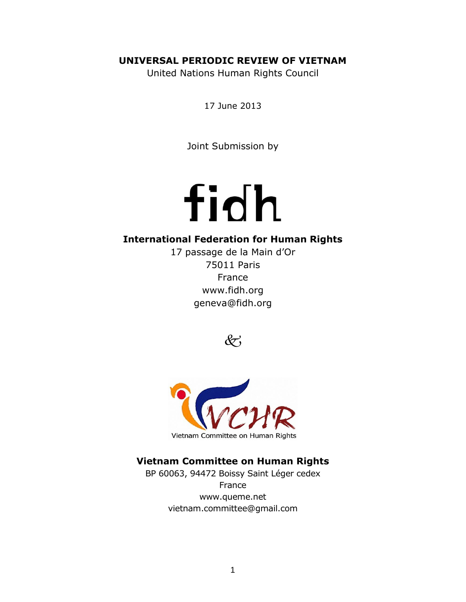# **UNIVERSAL PERIODIC REVIEW OF VIETNAM**

United Nations Human Rights Council

17 June 2013

Joint Submission by

# fidh

# **International Federation for Human Rights**

17 passage de la Main d'Or 75011 Paris France [www.fidh.org](http://www.fidh.org/) geneva@fidh.org

 $&\breve{c}$ 



# **Vietnam Committee on Human Rights**

BP 60063, 94472 Boissy Saint Léger cedex France [www.queme.net](http://www.queme.net/) [vietnam.committee@gmail.com](mailto:vietnam.committee@gmail.com)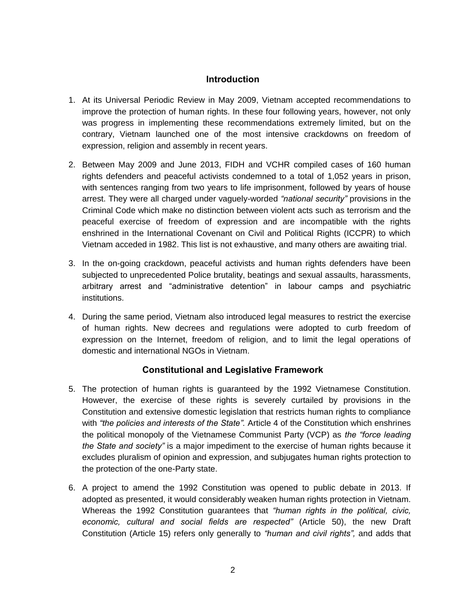#### **Introduction**

- 1. At its Universal Periodic Review in May 2009, Vietnam accepted recommendations to improve the protection of human rights. In these four following years, however, not only was progress in implementing these recommendations extremely limited, but on the contrary, Vietnam launched one of the most intensive crackdowns on freedom of expression, religion and assembly in recent years.
- 2. Between May 2009 and June 2013, FIDH and VCHR compiled cases of 160 human rights defenders and peaceful activists condemned to a total of 1,052 years in prison, with sentences ranging from two years to life imprisonment, followed by years of house arrest. They were all charged under vaguely-worded *"national security"* provisions in the Criminal Code which make no distinction between violent acts such as terrorism and the peaceful exercise of freedom of expression and are incompatible with the rights enshrined in the International Covenant on Civil and Political Rights (ICCPR) to which Vietnam acceded in 1982. This list is not exhaustive, and many others are awaiting trial.
- 3. In the on-going crackdown, peaceful activists and human rights defenders have been subjected to unprecedented Police brutality, beatings and sexual assaults, harassments, arbitrary arrest and "administrative detention" in labour camps and psychiatric institutions.
- 4. During the same period, Vietnam also introduced legal measures to restrict the exercise of human rights. New decrees and regulations were adopted to curb freedom of expression on the Internet, freedom of religion, and to limit the legal operations of domestic and international NGOs in Vietnam.

# **Constitutional and Legislative Framework**

- 5. The protection of human rights is guaranteed by the 1992 Vietnamese Constitution. However, the exercise of these rights is severely curtailed by provisions in the Constitution and extensive domestic legislation that restricts human rights to compliance with *"the policies and interests of the State".* Article 4 of the Constitution which enshrines the political monopoly of the Vietnamese Communist Party (VCP) as *the "force leading the State and society"* is a major impediment to the exercise of human rights because it excludes pluralism of opinion and expression, and subjugates human rights protection to the protection of the one-Party state.
- 6. A project to amend the 1992 Constitution was opened to public debate in 2013. If adopted as presented, it would considerably weaken human rights protection in Vietnam. Whereas the 1992 Constitution guarantees that *"human rights in the political, civic, economic, cultural and social fields are respected"* (Article 50), the new Draft Constitution (Article 15) refers only generally to *"human and civil rights",* and adds that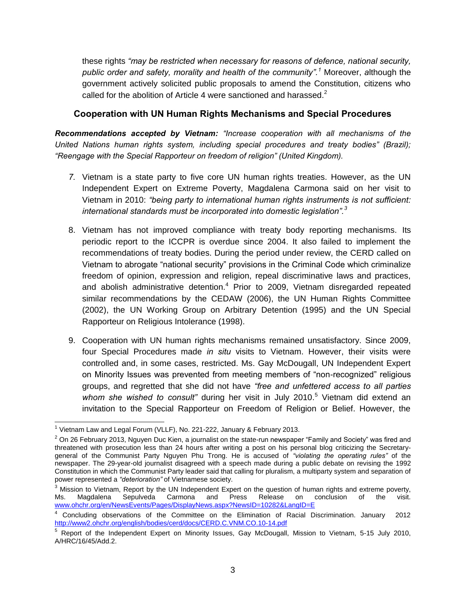these rights *"may be restricted when necessary for reasons of defence, national security, public order and safety, morality and health of the community".<sup>1</sup>* Moreover, *a*lthough the government actively solicited public proposals to amend the Constitution, citizens who called for the abolition of Article 4 were sanctioned and harassed. $2^2$ 

#### **Cooperation with UN Human Rights Mechanisms and Special Procedures**

*Recommendations accepted by Vietnam: "Increase cooperation with all mechanisms of the United Nations human rights system, including special procedures and treaty bodies" (Brazil); "Reengage with the Special Rapporteur on freedom of religion" (United Kingdom).*

- *7.* Vietnam is a state party to five core UN human rights treaties. However, as the UN Independent Expert on Extreme Poverty, Magdalena Carmona said on her visit to Vietnam in 2010: *"being party to international human rights instruments is not sufficient: international standards must be incorporated into domestic legislation".<sup>3</sup>*
- 8. Vietnam has not improved compliance with treaty body reporting mechanisms. Its periodic report to the ICCPR is overdue since 2004. It also failed to implement the recommendations of treaty bodies. During the period under review, the CERD called on Vietnam to abrogate "national security" provisions in the Criminal Code which criminalize freedom of opinion, expression and religion, repeal discriminative laws and practices, and abolish administrative detention.<sup>4</sup> Prior to 2009, Vietnam disregarded repeated similar recommendations by the CEDAW (2006), the UN Human Rights Committee (2002), the UN Working Group on Arbitrary Detention (1995) and the UN Special Rapporteur on Religious Intolerance (1998).
- 9. Cooperation with UN human rights mechanisms remained unsatisfactory. Since 2009, four Special Procedures made *in situ* visits to Vietnam. However, their visits were controlled and, in some cases, restricted. Ms. Gay McDougall, UN Independent Expert on Minority Issues was prevented from meeting members of "non-recognized" religious groups, and regretted that she did not have *"free and unfettered access to all parties*  whom she wished to consult" during her visit in July 2010.<sup>5</sup> Vietnam did extend an invitation to the Special Rapporteur on Freedom of Religion or Belief. However, the

 <sup>1</sup> Vietnam Law and Legal Forum (VLLF), No. 221-222, January & February 2013.

 $2$  On 26 February 2013, Nguyen Duc Kien, a journalist on the state-run newspaper "Family and Society" was fired and threatened with prosecution less than 24 hours after writing a post on his personal blog criticizing the Secretarygeneral of the Communist Party Nguyen Phu Trong. He is accused of *"violating the operating rules"* of the newspaper. The 29-year-old journalist disagreed with a speech made during a public debate on revising the 1992 Constitution in which the Communist Party leader said that calling for pluralism, a multiparty system and separation of power represented a *"deterioration"* of Vietnamese society.

 $3$  Mission to Vietnam, Report by the UN Independent Expert on the question of human rights and extreme poverty,<br>Ms. Magdalena Sepulveda Carmona and Press Release on conclusion of the visit. Ms. Magdalena Sepulveda Carmona and Press Release on conclusion of the visit. [www.ohchr.org/en/NewsEvents/Pages/DisplayNews.aspx?NewsID=10282&LangID=E](http://www.ohchr.org/en/NewsEvents/Pages/DisplayNews.aspx?NewsID=10282&LangID=E)

<sup>4</sup> Concluding observations of the Committee on the Elimination of Racial Discrimination. January 2012 <http://www2.ohchr.org/english/bodies/cerd/docs/CERD.C.VNM.CO.10-14.pdf>

<sup>5</sup> Report of the Independent Expert on Minority Issues, Gay McDougall, Mission to Vietnam, 5-15 July 2010, A/HRC/16/45/Add.2.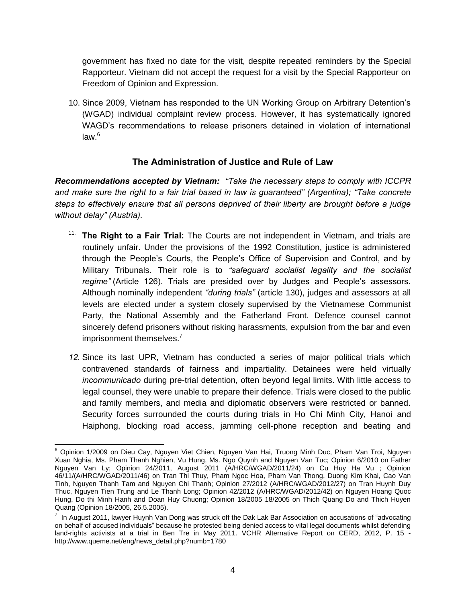government has fixed no date for the visit, despite repeated reminders by the Special Rapporteur. Vietnam did not accept the request for a visit by the Special Rapporteur on Freedom of Opinion and Expression.

10. Since 2009, Vietnam has responded to the UN Working Group on Arbitrary Detention's (WGAD) individual complaint review process. However, it has systematically ignored WAGD's recommendations to release prisoners detained in violation of international  $law<sup>6</sup>$ 

# **The Administration of Justice and Rule of Law**

*Recommendations accepted by Vietnam: "Take the necessary steps to comply with ICCPR and make sure the right to a fair trial based in law is guaranteed" (Argentina); "Take concrete steps to effectively ensure that all persons deprived of their liberty are brought before a judge without delay" (Austria).*

- 11. **The Right to a Fair Trial:** The Courts are not independent in Vietnam, and trials are routinely unfair. Under the provisions of the 1992 Constitution, justice is administered through the People's Courts, the People's Office of Supervision and Control, and by Military Tribunals. Their role is to *"safeguard socialist legality and the socialist regime"* (Article 126). Trials are presided over by Judges and People's assessors. Although nominally independent *"during trials"* (article 130), judges and assessors at all levels are elected under a system closely supervised by the Vietnamese Communist Party, the National Assembly and the Fatherland Front. Defence counsel cannot sincerely defend prisoners without risking harassments, expulsion from the bar and even imprisonment themselves.<sup>7</sup>
- *12.* Since its last UPR, Vietnam has conducted a series of major political trials which contravened standards of fairness and impartiality. Detainees were held virtually *incommunicado* during pre-trial detention, often beyond legal limits. With little access to legal counsel, they were unable to prepare their defence. Trials were closed to the public and family members, and media and diplomatic observers were restricted or banned. Security forces surrounded the courts during trials in Ho Chi Minh City, Hanoi and Haiphong, blocking road access, jamming cell-phone reception and beating and

 <sup>6</sup> Opinion 1/2009 on Dieu Cay, Nguyen Viet Chien, Nguyen Van Hai, Truong Minh Duc, Pham Van Troi, Nguyen Xuan Nghia, Ms. Pham Thanh Nghien, Vu Hung, Ms. Ngo Quynh and Nguyen Van Tuc; Opinion 6/2010 on Father Nguyen Van Ly; Opinion 24/2011, August 2011 (A/HRC/WGAD/2011/24) on Cu Huy Ha Vu ; Opinion 46/11/(A/HRC/WGAD/2011/46) on Tran Thi Thuy, Pham Ngoc Hoa, Pham Van Thong, Duong Kim Khai, Cao Van Tinh, Nguyen Thanh Tam and Nguyen Chi Thanh; Opinion 27/2012 (A/HRC/WGAD/2012/27) on Tran Huynh Duy Thuc, Nguyen Tien Trung and Le Thanh Long; Opinion 42/2012 (A/HRC/WGAD/2012/42) on Nguyen Hoang Quoc Hung, Do thi Minh Hanh and Doan Huy Chuong; Opinion 18/2005 18/2005 on Thich Quang Do and Thich Huyen Quang (Opinion 18/2005, 26.5.2005).

 $^7$  In August 2011, lawyer Huynh Van Dong was struck off the Dak Lak Bar Association on accusations of "advocating on behalf of accused individuals" because he protested being denied access to vital legal documents whilst defending land-rights activists at a trial in Ben Tre in May 2011. VCHR Alternative Report on CERD, 2012, P. 15 http://www.queme.net/eng/news\_detail.php?numb=1780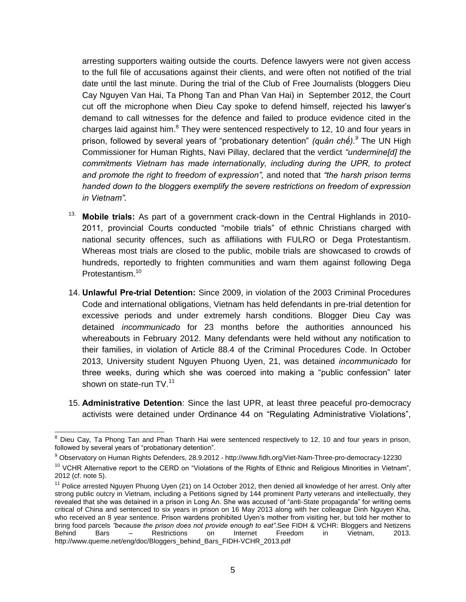arresting supporters waiting outside the courts. Defence lawyers were not given access to the full file of accusations against their clients, and were often not notified of the trial date until the last minute. During the trial of the Club of Free Journalists (bloggers Dieu Cay Nguyen Van Hai, Ta Phong Tan and Phan Van Hai) in September 2012, the Court cut off the microphone when Dieu Cay spoke to defend himself, rejected his lawyer's demand to call witnesses for the defence and failed to produce evidence cited in the charges laid against him. $8$  They were sentenced respectively to 12, 10 and four years in prison, followed by several years of "probationary detention" *(quản chế).<sup>9</sup>* The UN High Commissioner for Human Rights, Navi Pillay, declared that the verdict *"undermine[d] the commitments Vietnam has made internationally, including during the UPR, to protect and promote the right to freedom of expression",* and noted that *"the harsh prison terms handed down to the bloggers exemplify the severe restrictions on freedom of expression in Vietnam".* 

- 13. **Mobile trials:** As part of a government crack-down in the Central Highlands in 2010- 2011, provincial Courts conducted "mobile trials" of ethnic Christians charged with national security offences, such as affiliations with FULRO or Dega Protestantism. Whereas most trials are closed to the public, mobile trials are showcased to crowds of hundreds, reportedly to frighten communities and warn them against following Dega Protestantism.<sup>10</sup>
- 14. **Unlawful Pre-trial Detention:** Since 2009, in violation of the 2003 Criminal Procedures Code and international obligations, Vietnam has held defendants in pre-trial detention for excessive periods and under extremely harsh conditions. Blogger Dieu Cay was detained *incommunicado* for 23 months before the authorities announced his whereabouts in February 2012. Many defendants were held without any notification to their families, in violation of Article 88.4 of the Criminal Procedures Code. In October 2013, University student Nguyen Phuong Uyen, 21, was detained *incommunicado* for three weeks, during which she was coerced into making a "public confession" later shown on state-run TV.<sup>11</sup>
- 15. **Administrative Detention**: Since the last UPR, at least three peaceful pro-democracy activists were detained under Ordinance 44 on "Regulating Administrative Violations",

 $\overline{a}$ 

<sup>&</sup>lt;sup>8</sup> Dieu Cav. Ta Phong Tan and Phan Thanh Hai were sentenced respectively to 12, 10 and four years in prison, followed by several years of "probationary detention".

<sup>9</sup> Observatory on Human Rights Defenders, 28.9.2012 - http://www.fidh.org/Viet-Nam-Three-pro-democracy-12230

<sup>&</sup>lt;sup>10</sup> VCHR Alternative report to the CERD on "Violations of the Rights of Ethnic and Religious Minorities in Vietnam", 2012 (cf. note 5).

<sup>&</sup>lt;sup>11</sup> Police arrested Nguyen Phuong Uyen (21) on 14 October 2012, then denied all knowledge of her arrest. Only after strong public outcry in Vietnam, including a Petitions signed by 144 prominent Party veterans and intellectually, they revealed that she was detained in a prison in Long An. She was accused of "anti-State propaganda" for writing oems critical of China and sentenced to six years in prison on 16 May 2013 along with her colleague Dinh Nguyen Kha, who received an 8 year sentence. Prison wardens prohibited Uyen's mother from visiting her, but told her mother to bring food parcels *"because the prison does not provide enough to eat"*.See FIDH & VCHR: Bloggers and Netizens Behind Bars – Restrictions on Internet Freedom in Vietnam, 2013. http://www.queme.net/eng/doc/Bloggers\_behind\_Bars\_FIDH-VCHR\_2013.pdf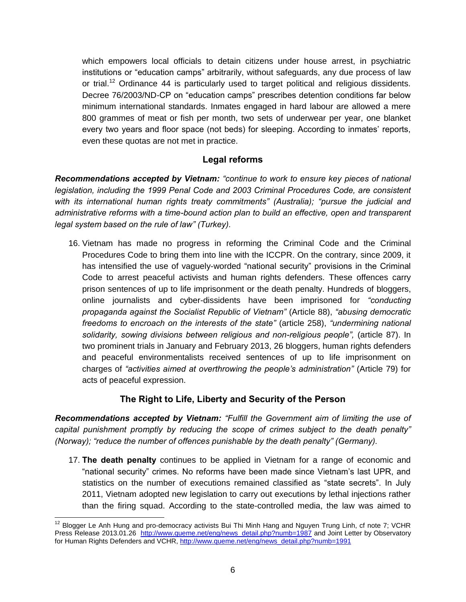which empowers local officials to detain citizens under house arrest, in psychiatric institutions or "education camps" arbitrarily, without safeguards, any due process of law or trial.<sup>12</sup> Ordinance 44 is particularly used to target political and religious dissidents. Decree 76/2003/ND-CP on "education camps" prescribes detention conditions far below minimum international standards. Inmates engaged in hard labour are allowed a mere 800 grammes of meat or fish per month, two sets of underwear per year, one blanket every two years and floor space (not beds) for sleeping. According to inmates' reports, even these quotas are not met in practice.

# **Legal reforms**

*Recommendations accepted by Vietnam: "continue to work to ensure key pieces of national legislation, including the 1999 Penal Code and 2003 Criminal Procedures Code, are consistent with its international human rights treaty commitments" (Australia); "pursue the judicial and administrative reforms with a time-bound action plan to build an effective, open and transparent legal system based on the rule of law" (Turkey).* 

16. Vietnam has made no progress in reforming the Criminal Code and the Criminal Procedures Code to bring them into line with the ICCPR. On the contrary, since 2009, it has intensified the use of vaguely-worded "national security" provisions in the Criminal Code to arrest peaceful activists and human rights defenders. These offences carry prison sentences of up to life imprisonment or the death penalty. Hundreds of bloggers, online journalists and cyber-dissidents have been imprisoned for *"conducting propaganda against the Socialist Republic of Vietnam"* (Article 88), *"abusing democratic freedoms to encroach on the interests of the state"* (article 258), *"undermining national solidarity, sowing divisions between religious and non-religious people",* (article 87). In two prominent trials in January and February 2013, 26 bloggers, human rights defenders and peaceful environmentalists received sentences of up to life imprisonment on charges of *"activities aimed at overthrowing the people's administration"* (Article 79) for acts of peaceful expression.

#### **The Right to Life, Liberty and Security of the Person**

*Recommendations accepted by Vietnam: "Fulfill the Government aim of limiting the use of capital punishment promptly by reducing the scope of crimes subject to the death penalty" (Norway); "reduce the number of offences punishable by the death penalty" (Germany).*

17. **The death penalty** continues to be applied in Vietnam for a range of economic and "national security" crimes. No reforms have been made since Vietnam's last UPR, and statistics on the number of executions remained classified as "state secrets". In July 2011, Vietnam adopted new legislation to carry out executions by lethal injections rather than the firing squad. According to the state-controlled media, the law was aimed to

 $\overline{a}$  $12$  Blogger Le Anh Hung and pro-democracy activists Bui Thi Minh Hang and Nguyen Trung Linh, cf note 7; VCHR Press Release 2013.01.26 [http://www.queme.net/eng/news\\_detail.php?numb=1987](http://www.queme.net/eng/news_detail.php?numb=1987) and Joint Letter by Observatory for Human Rights Defenders and VCHR[, http://www.queme.net/eng/news\\_detail.php?numb=1991](http://www.queme.net/eng/news_detail.php?numb=1991)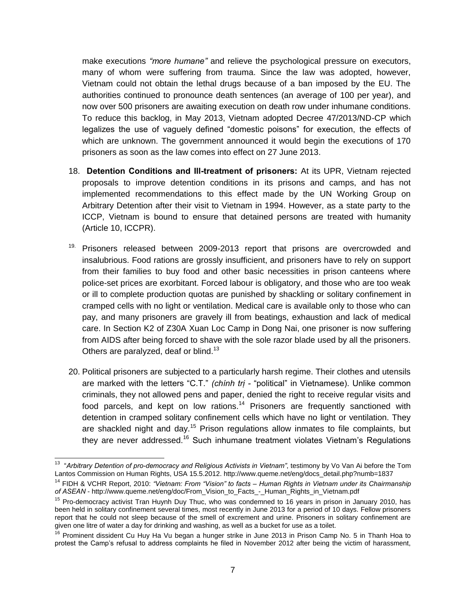make executions *"more humane"* and relieve the psychological pressure on executors, many of whom were suffering from trauma. Since the law was adopted, however, Vietnam could not obtain the lethal drugs because of a ban imposed by the EU. The authorities continued to pronounce death sentences (an average of 100 per year), and now over 500 prisoners are awaiting execution on death row under inhumane conditions. To reduce this backlog, in May 2013, Vietnam adopted Decree 47/2013/ND-CP which legalizes the use of vaguely defined "domestic poisons" for execution, the effects of which are unknown. The government announced it would begin the executions of 170 prisoners as soon as the law comes into effect on 27 June 2013.

- 18. **Detention Conditions and Ill-treatment of prisoners:** At its UPR, Vietnam rejected proposals to improve detention conditions in its prisons and camps, and has not implemented recommendations to this effect made by the UN Working Group on Arbitrary Detention after their visit to Vietnam in 1994. However, as a state party to the ICCP, Vietnam is bound to ensure that detained persons are treated with humanity (Article 10, ICCPR).
- $19.$  Prisoners released between 2009-2013 report that prisons are overcrowded and insalubrious. Food rations are grossly insufficient, and prisoners have to rely on support from their families to buy food and other basic necessities in prison canteens where police-set prices are exorbitant. Forced labour is obligatory, and those who are too weak or ill to complete production quotas are punished by shackling or solitary confinement in cramped cells with no light or ventilation. Medical care is available only to those who can pay, and many prisoners are gravely ill from beatings, exhaustion and lack of medical care. In Section K2 of Z30A Xuan Loc Camp in Dong Nai, one prisoner is now suffering from AIDS after being forced to shave with the sole razor blade used by all the prisoners. Others are paralyzed, deaf or blind.<sup>13</sup>
- 20. Political prisoners are subjected to a particularly harsh regime. Their clothes and utensils are marked with the letters "C.T." *(chính trị -* "political" in Vietnamese). Unlike common criminals, they not allowed pens and paper, denied the right to receive regular visits and food parcels, and kept on low rations.<sup>14</sup> Prisoners are frequently sanctioned with detention in cramped solitary confinement cells which have no light or ventilation. They are shackled night and day.<sup>15</sup> Prison regulations allow inmates to file complaints, but they are never addressed.<sup>16</sup> Such inhumane treatment violates Vietnam's Regulations

 13 "*Arbitrary Detention of pro-democracy and Religious Activists in Vietnam"*, testimony by Vo Van Ai before the Tom Lantos Commission on Human Rights, USA 15.5.2012. http://www.queme.net/eng/docs\_detail.php?numb=1837

<sup>14</sup> FIDH & VCHR Report, 2010: *"Vietnam: From "Vision" to facts – Human Rights in Vietnam under its Chairmanship of ASEAN* - http://www.queme.net/eng/doc/From\_Vision\_to\_Facts\_-\_Human\_Rights\_in\_Vietnam.pdf

<sup>&</sup>lt;sup>15</sup> Pro-democracy activist Tran Huynh Duy Thuc, who was condemned to 16 years in prison in January 2010, has been held in solitary confinement several times, most recently in June 2013 for a period of 10 days. Fellow prisoners report that he could not sleep because of the smell of excrement and urine. Prisoners in solitary confinement are given one litre of water a day for drinking and washing, as well as a bucket for use as a toilet.

<sup>&</sup>lt;sup>16</sup> Prominent dissident Cu Huy Ha Vu began a hunger strike in June 2013 in Prison Camp No. 5 in Thanh Hoa to protest the Camp's refusal to address complaints he filed in November 2012 after being the victim of harassment,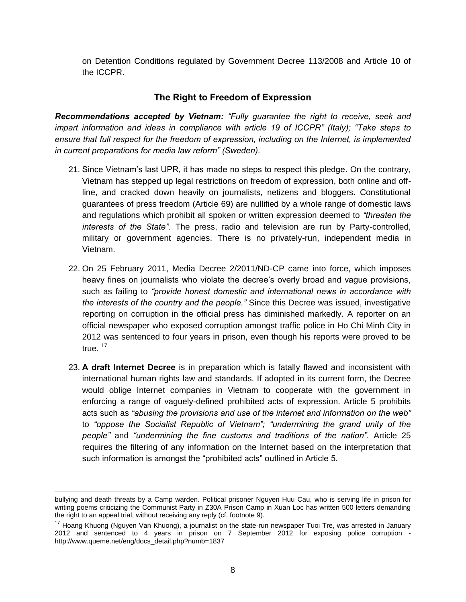on Detention Conditions regulated by Government Decree 113/2008 and Article 10 of the ICCPR.

#### **The Right to Freedom of Expression**

*Recommendations accepted by Vietnam: "Fully guarantee the right to receive, seek and impart information and ideas in compliance with article 19 of ICCPR" (Italy); "Take steps to ensure that full respect for the freedom of expression, including on the Internet, is implemented in current preparations for media law reform" (Sweden).*

- 21. Since Vietnam's last UPR, it has made no steps to respect this pledge. On the contrary, Vietnam has stepped up legal restrictions on freedom of expression, both online and offline, and cracked down heavily on journalists, netizens and bloggers. Constitutional guarantees of press freedom (Article 69) are nullified by a whole range of domestic laws and regulations which prohibit all spoken or written expression deemed to *"threaten the interests of the State".* The press, radio and television are run by Party-controlled, military or government agencies. There is no privately-run, independent media in Vietnam.
- 22. On 25 February 2011, Media Decree 2/2011/ND-CP came into force, which imposes heavy fines on journalists who violate the decree's overly broad and vague provisions, such as failing to *"provide honest domestic and international news in accordance with the interests of the country and the people."* Since this Decree was issued, investigative reporting on corruption in the official press has diminished markedly. A reporter on an official newspaper who exposed corruption amongst traffic police in Ho Chi Minh City in 2012 was sentenced to four years in prison, even though his reports were proved to be true. <sup>17</sup>
- 23. **A draft Internet Decree** is in preparation which is fatally flawed and inconsistent with international human rights law and standards. If adopted in its current form, the Decree would oblige Internet companies in Vietnam to cooperate with the government in enforcing a range of vaguely-defined prohibited acts of expression. Article 5 prohibits acts such as *"abusing the provisions and use of the internet and information on the web"* to *"oppose the Socialist Republic of Vietnam"; "undermining the grand unity of the people"* and *"undermining the fine customs and traditions of the nation".* Article 25 requires the filtering of any information on the Internet based on the interpretation that such information is amongst the "prohibited acts" outlined in Article 5.

bullying and death threats by a Camp warden. Political prisoner Nguyen Huu Cau, who is serving life in prison for writing poems criticizing the Communist Party in Z30A Prison Camp in Xuan Loc has written 500 letters demanding the right to an appeal trial, without receiving any reply (cf. footnote 9).

<sup>&</sup>lt;sup>17</sup> Hoang Khuong (Nguyen Van Khuong), a journalist on the state-run newspaper Tuoi Tre, was arrested in January 2012 and sentenced to 4 years in prison on 7 September 2012 for exposing police corruption http://www.queme.net/eng/docs\_detail.php?numb=1837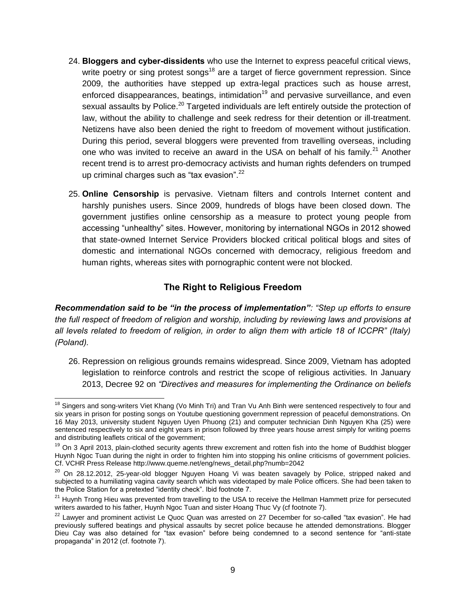- 24. **Bloggers and cyber-dissidents** who use the Internet to express peaceful critical views, write poetry or sing protest songs<sup>18</sup> are a target of fierce government repression. Since 2009, the authorities have stepped up extra-legal practices such as house arrest, enforced disappearances, beatings, intimidation<sup>19</sup> and pervasive surveillance, and even sexual assaults by Police.<sup>20</sup> Targeted individuals are left entirely outside the protection of law, without the ability to challenge and seek redress for their detention or ill-treatment. Netizens have also been denied the right to freedom of movement without justification. During this period, several bloggers were prevented from travelling overseas, including one who was invited to receive an award in the USA on behalf of his family.<sup>21</sup> Another recent trend is to arrest pro-democracy activists and human rights defenders on trumped up criminal charges such as "tax evasion".<sup>22</sup>
- 25. **Online Censorship** is pervasive. Vietnam filters and controls Internet content and harshly punishes users. Since 2009, hundreds of blogs have been closed down. The government justifies online censorship as a measure to protect young people from accessing "unhealthy" sites. However, monitoring by international NGOs in 2012 showed that state-owned Internet Service Providers blocked critical political blogs and sites of domestic and international NGOs concerned with democracy, religious freedom and human rights, whereas sites with pornographic content were not blocked.

#### **The Right to Religious Freedom**

*Recommendation said to be "in the process of implementation": "Step up efforts to ensure the full respect of freedom of religion and worship, including by reviewing laws and provisions at all levels related to freedom of religion, in order to align them with article 18 of ICCPR" (Italy) (Poland).*

26. Repression on religious grounds remains widespread. Since 2009, Vietnam has adopted legislation to reinforce controls and restrict the scope of religious activities. In January 2013, Decree 92 on *"Directives and measures for implementing the Ordinance on beliefs* 

<sup>&</sup>lt;sup>18</sup> Singers and song-writers Viet Khang (Vo Minh Tri) and Tran Vu Anh Binh were sentenced respectively to four and six years in prison for posting songs on Youtube questioning government repression of peaceful demonstrations. On 16 May 2013, university student Nguyen Uyen Phuong (21) and computer technician Dinh Nguyen Kha (25) were sentenced respectively to six and eight years in prison followed by three years house arrest simply for writing poems and distributing leaflets critical of the government;

 $19$  On 3 April 2013, plain-clothed security agents threw excrement and rotten fish into the home of Buddhist blogger Huynh Ngoc Tuan during the night in order to frighten him into stopping his online criticisms of government policies. Cf. VCHR Press Release http://www.queme.net/eng/news\_detail.php?numb=2042

<sup>&</sup>lt;sup>20</sup> On 28.12.2012, 25-year-old blogger Nguyen Hoang Vi was beaten savagely by Police, stripped naked and subjected to a humiliating vagina cavity search which was videotaped by male Police officers. She had been taken to the Police Station for a pretexted "identity check". Ibid footnote 7.

<sup>&</sup>lt;sup>21</sup> Huynh Trong Hieu was prevented from travelling to the USA to receive the Hellman Hammett prize for persecuted writers awarded to his father, Huynh Ngoc Tuan and sister Hoang Thuc Vy (cf footnote 7).

<sup>&</sup>lt;sup>22</sup> Lawyer and prominent activist Le Quoc Quan was arrested on 27 December for so-called "tax evasion". He had previously suffered beatings and physical assaults by secret police because he attended demonstrations. Blogger Dieu Cay was also detained for "tax evasion" before being condemned to a second sentence for "anti-state propaganda" in 2012 (cf. footnote 7).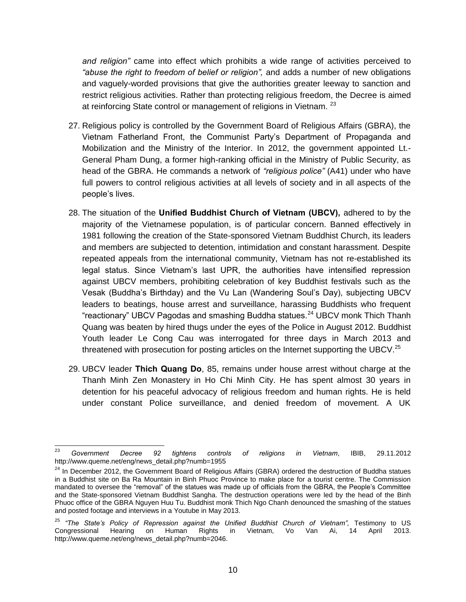*and religion"* came into effect which prohibits a wide range of activities perceived to *"abuse the right to freedom of belief or religion",* and adds a number of new obligations and vaguely-worded provisions that give the authorities greater leeway to sanction and restrict religious activities. Rather than protecting religious freedom, the Decree is aimed at reinforcing State control or management of religions in Vietnam. <sup>23</sup>

- 27. Religious policy is controlled by the Government Board of Religious Affairs (GBRA), the Vietnam Fatherland Front, the Communist Party's Department of Propaganda and Mobilization and the Ministry of the Interior. In 2012, the government appointed Lt.- General Pham Dung, a former high-ranking official in the Ministry of Public Security, as head of the GBRA. He commands a network of *"religious police"* (A41) under who have full powers to control religious activities at all levels of society and in all aspects of the people's lives.
- 28. The situation of the **Unified Buddhist Church of Vietnam (UBCV),** adhered to by the majority of the Vietnamese population, is of particular concern. Banned effectively in 1981 following the creation of the State-sponsored Vietnam Buddhist Church, its leaders and members are subjected to detention, intimidation and constant harassment. Despite repeated appeals from the international community, Vietnam has not re-established its legal status. Since Vietnam's last UPR, the authorities have intensified repression against UBCV members, prohibiting celebration of key Buddhist festivals such as the Vesak (Buddha's Birthday) and the Vu Lan (Wandering Soul's Day), subjecting UBCV leaders to beatings, house arrest and surveillance, harassing Buddhists who frequent "reactionary" UBCV Pagodas and smashing Buddha statues.<sup>24</sup> UBCV monk Thich Thanh Quang was beaten by hired thugs under the eyes of the Police in August 2012. Buddhist Youth leader Le Cong Cau was interrogated for three days in March 2013 and threatened with prosecution for posting articles on the Internet supporting the UBCV.<sup>25</sup>
- 29. UBCV leader **Thich Quang Do**, 85, remains under house arrest without charge at the Thanh Minh Zen Monastery in Ho Chi Minh City. He has spent almost 30 years in detention for his peaceful advocacy of religious freedom and human rights. He is held under constant Police surveillance, and denied freedom of movement. A UK

 $23$ <sup>23</sup> *Government Decree 92 tightens controls of religions in Vietnam*, IBIB, 29.11.2012 http://www.queme.net/eng/news\_detail.php?numb=1955

<sup>&</sup>lt;sup>24</sup> In December 2012, the Government Board of Religious Affairs (GBRA) ordered the destruction of Buddha statues in a Buddhist site on Ba Ra Mountain in Binh Phuoc Province to make place for a tourist centre. The Commission mandated to oversee the "removal" of the statues was made up of officials from the GBRA, the People's Committee and the State-sponsored Vietnam Buddhist Sangha. The destruction operations were led by the head of the Binh Phuoc office of the GBRA Nguyen Huu Tu. Buddhist monk Thich Ngo Chanh denounced the smashing of the statues and posted footage and interviews in a Youtube in May 2013.

<sup>&</sup>lt;sup>25</sup> "The State's Policy of Repression against the Unified Buddhist Church of Vietnam", Testimony to US<br>Congressional Hearing on Human Rights in Vietnam, Vo Van Ai, 14 April 2013. Congressional Hearing http://www.queme.net/eng/news\_detail.php?numb=2046.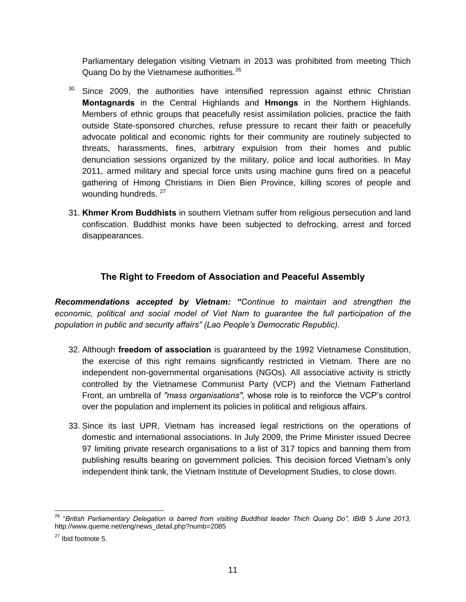Parliamentary delegation visiting Vietnam in 2013 was prohibited from meeting Thich Quang Do by the Vietnamese authorities.<sup>26</sup>

- <sup>30.</sup> Since 2009, the authorities have intensified repression against ethnic Christian **Montagnards** in the Central Highlands and **Hmongs** in the Northern Highlands. Members of ethnic groups that peacefully resist assimilation policies, practice the faith outside State-sponsored churches, refuse pressure to recant their faith or peacefully advocate political and economic rights for their community are routinely subjected to threats, harassments, fines, arbitrary expulsion from their homes and public denunciation sessions organized by the military, police and local authorities. In May 2011, armed military and special force units using machine guns fired on a peaceful gathering of Hmong Christians in Dien Bien Province, killing scores of people and wounding hundreds. <sup>27</sup>
- 31. **Khmer Krom Buddhists** in southern Vietnam suffer from religious persecution and land confiscation. Buddhist monks have been subjected to defrocking, arrest and forced disappearances.

# **The Right to Freedom of Association and Peaceful Assembly**

*Recommendations accepted by Vietnam: "Continue to maintain and strengthen the economic, political and social model of Viet Nam to guarantee the full participation of the population in public and security affairs" (Lao People's Democratic Republic).*

- 32. Although **freedom of association** is guaranteed by the 1992 Vietnamese Constitution, the exercise of this right remains significantly restricted in Vietnam. There are no independent non-governmental organisations (NGOs). All associative activity is strictly controlled by the Vietnamese Communist Party (VCP) and the Vietnam Fatherland Front, an umbrella of *"mass organisations",* whose role is to reinforce the VCP's control over the population and implement its policies in political and religious affairs.
- 33. Since its last UPR, Vietnam has increased legal restrictions on the operations of domestic and international associations. In July 2009, the Prime Minister issued Decree 97 limiting private research organisations to a list of 317 topics and banning them from publishing results bearing on government policies. This decision forced Vietnam's only independent think tank, the Vietnam Institute of Development Studies, to close down.

 $\overline{a}$ 

<sup>26</sup> "*British Parliamentary Delegation is barred from visiting Buddhist leader Thich Quang Do", IBIB 5 June 2013,*  http://www.queme.net/eng/news\_detail.php?numb=2085

<sup>27</sup> Ibid footnote 5.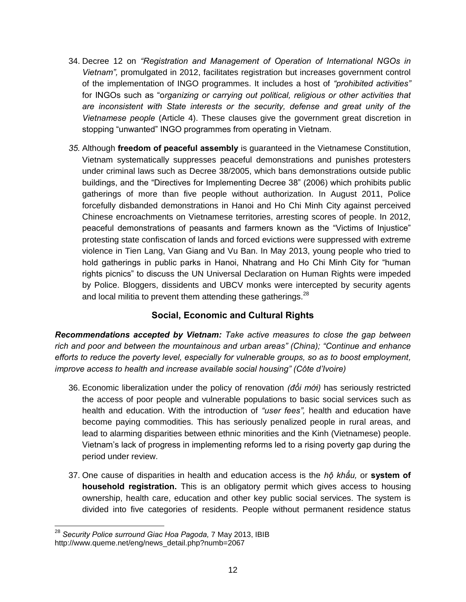- 34. Decree 12 on *"Registration and Management of Operation of International NGOs in Vietnam",* promulgated in 2012, facilitates registration but increases government control of the implementation of INGO programmes. It includes a host of *"prohibited activities"* for INGOs such as "o*rganizing or carrying out political, religious or other activities that are inconsistent with State interests or the security, defense and great unity of the Vietnamese people* (Article 4). These clauses give the government great discretion in stopping "unwanted" INGO programmes from operating in Vietnam.
- *35.* Although **freedom of peaceful assembly** is guaranteed in the Vietnamese Constitution, Vietnam systematically suppresses peaceful demonstrations and punishes protesters under criminal laws such as Decree 38/2005, which bans demonstrations outside public buildings, and the "Directives for Implementing Decree 38" (2006) which prohibits public gatherings of more than five people without authorization. In August 2011, Police forcefully disbanded demonstrations in Hanoi and Ho Chi Minh City against perceived Chinese encroachments on Vietnamese territories, arresting scores of people. In 2012, peaceful demonstrations of peasants and farmers known as the "Victims of Injustice" protesting state confiscation of lands and forced evictions were suppressed with extreme violence in Tien Lang, Van Giang and Vu Ban. In May 2013, young people who tried to hold gatherings in public parks in Hanoi, Nhatrang and Ho Chi Minh City for "human rights picnics" to discuss the UN Universal Declaration on Human Rights were impeded by Police. Bloggers, dissidents and UBCV monks were intercepted by security agents and local militia to prevent them attending these gatherings. $^{28}$

# **Social, Economic and Cultural Rights**

*Recommendations accepted by Vietnam: Take active measures to close the gap between rich and poor and between the mountainous and urban areas" (China); "Continue and enhance efforts to reduce the poverty level, especially for vulnerable groups, so as to boost employment, improve access to health and increase available social housing" (Côte d'Ivoire)*

- 36. Economic liberalization under the policy of renovation *(đổi mới)* has seriously restricted the access of poor people and vulnerable populations to basic social services such as health and education. With the introduction of *"user fees",* health and education have become paying commodities. This has seriously penalized people in rural areas, and lead to alarming disparities between ethnic minorities and the Kinh (Vietnamese) people. Vietnam's lack of progress in implementing reforms led to a rising poverty gap during the period under review.
- 37. One cause of disparities in health and education access is the *hộ khẩu,* or **system of household registration.** This is an obligatory permit which gives access to housing ownership, health care, education and other key public social services. The system is divided into five categories of residents. People without permanent residence status

 <sup>28</sup> *Security Police surround Giac Hoa Pagoda,* 7 May 2013, IBIB http://www.queme.net/eng/news\_detail.php?numb=2067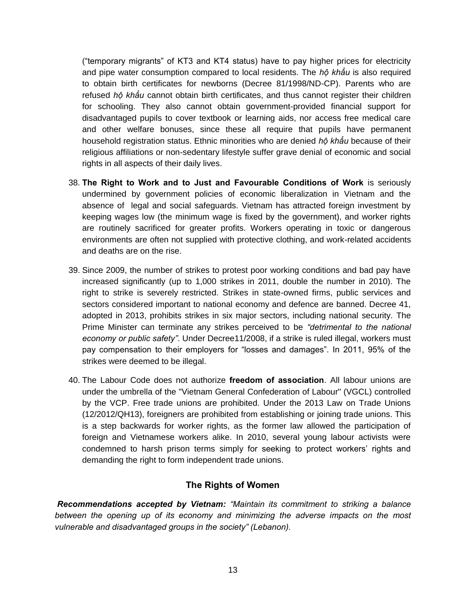("temporary migrants" of KT3 and KT4 status) have to pay higher prices for electricity and pipe water consumption compared to local residents. The *hộ khẩu* is also required to obtain birth certificates for newborns (Decree 81/1998/ND-CP). Parents who are refused *hộ khẩu* cannot obtain birth certificates, and thus cannot register their children for schooling. They also cannot obtain government-provided financial support for disadvantaged pupils to cover textbook or learning aids, nor access free medical care and other welfare bonuses, since these all require that pupils have permanent household registration status. Ethnic minorities who are denied *hộ khẩu* because of their religious affiliations or non-sedentary lifestyle suffer grave denial of economic and social rights in all aspects of their daily lives.

- 38. **The Right to Work and to Just and Favourable Conditions of Work** is seriously undermined by government policies of economic liberalization in Vietnam and the absence of legal and social safeguards. Vietnam has attracted foreign investment by keeping wages low (the minimum wage is fixed by the government), and worker rights are routinely sacrificed for greater profits. Workers operating in toxic or dangerous environments are often not supplied with protective clothing, and work-related accidents and deaths are on the rise.
- 39. Since 2009, the number of strikes to protest poor working conditions and bad pay have increased significantly (up to 1,000 strikes in 2011, double the number in 2010). The right to strike is severely restricted. Strikes in state-owned firms, public services and sectors considered important to national economy and defence are banned. Decree 41, adopted in 2013, prohibits strikes in six major sectors, including national security. The Prime Minister can terminate any strikes perceived to be *"detrimental to the national economy or public safety"*. Under Decree11/2008, if a strike is ruled illegal, workers must pay compensation to their employers for "losses and damages". In 2011, 95% of the strikes were deemed to be illegal.
- 40. The Labour Code does not authorize **freedom of association**. All labour unions are under the umbrella of the "Vietnam General Confederation of Labour" (VGCL) controlled by the VCP. Free trade unions are prohibited. Under the 2013 Law on Trade Unions (12/2012/QH13), foreigners are prohibited from establishing or joining trade unions. This is a step backwards for worker rights, as the former law allowed the participation of foreign and Vietnamese workers alike. In 2010, several young labour activists were condemned to harsh prison terms simply for seeking to protect workers' rights and demanding the right to form independent trade unions.

#### **The Rights of Women**

*Recommendations accepted by Vietnam: "Maintain its commitment to striking a balance between the opening up of its economy and minimizing the adverse impacts on the most vulnerable and disadvantaged groups in the society" (Lebanon).*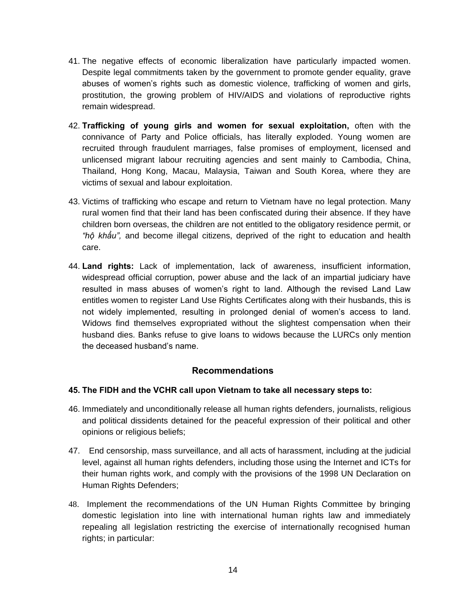- 41. The negative effects of economic liberalization have particularly impacted women. Despite legal commitments taken by the government to promote gender equality, grave abuses of women's rights such as domestic violence, trafficking of women and girls, prostitution, the growing problem of HIV/AIDS and violations of reproductive rights remain widespread.
- 42. **Trafficking of young girls and women for sexual exploitation,** often with the connivance of Party and Police officials, has literally exploded. Young women are recruited through fraudulent marriages, false promises of employment, licensed and unlicensed migrant labour recruiting agencies and sent mainly to Cambodia, China, Thailand, Hong Kong, Macau, Malaysia, Taiwan and South Korea, where they are victims of sexual and labour exploitation.
- 43. Victims of trafficking who escape and return to Vietnam have no legal protection. Many rural women find that their land has been confiscated during their absence. If they have children born overseas, the children are not entitled to the obligatory residence permit, or *"hộ khẩu",* and become illegal citizens, deprived of the right to education and health care.
- 44. **Land rights:** Lack of implementation, lack of awareness, insufficient information, widespread official corruption, power abuse and the lack of an impartial judiciary have resulted in mass abuses of women's right to land. Although the revised Land Law entitles women to register Land Use Rights Certificates along with their husbands, this is not widely implemented, resulting in prolonged denial of women's access to land. Widows find themselves expropriated without the slightest compensation when their husband dies. Banks refuse to give loans to widows because the LURCs only mention the deceased husband's name.

#### **Recommendations**

#### **45. The FIDH and the VCHR call upon Vietnam to take all necessary steps to:**

- 46. Immediately and unconditionally release all human rights defenders, journalists, religious and political dissidents detained for the peaceful expression of their political and other opinions or religious beliefs;
- 47. End censorship, mass surveillance, and all acts of harassment, including at the judicial level, against all human rights defenders, including those using the Internet and ICTs for their human rights work, and comply with the provisions of the 1998 UN Declaration on Human Rights Defenders;
- 48. Implement the recommendations of the UN Human Rights Committee by bringing domestic legislation into line with international human rights law and immediately repealing all legislation restricting the exercise of internationally recognised human rights; in particular: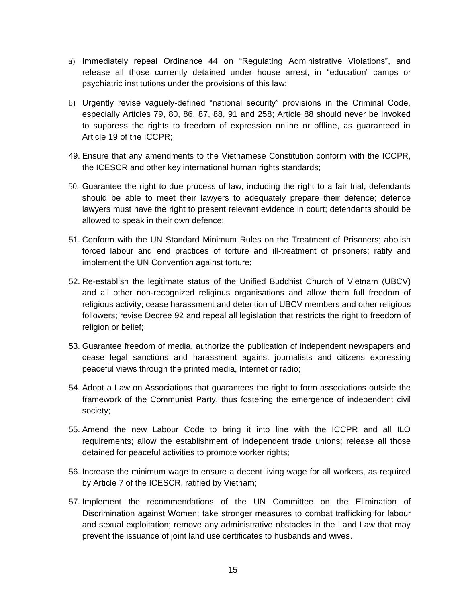- a) Immediately repeal Ordinance 44 on "Regulating Administrative Violations", and release all those currently detained under house arrest, in "education" camps or psychiatric institutions under the provisions of this law;
- b) Urgently revise vaguely-defined "national security" provisions in the Criminal Code, especially Articles 79, 80, 86, 87, 88, 91 and 258; Article 88 should never be invoked to suppress the rights to freedom of expression online or offline, as guaranteed in Article 19 of the ICCPR;
- 49. Ensure that any amendments to the Vietnamese Constitution conform with the ICCPR, the ICESCR and other key international human rights standards;
- 50. Guarantee the right to due process of law, including the right to a fair trial; defendants should be able to meet their lawyers to adequately prepare their defence; defence lawyers must have the right to present relevant evidence in court; defendants should be allowed to speak in their own defence;
- 51. Conform with the UN Standard Minimum Rules on the Treatment of Prisoners; abolish forced labour and end practices of torture and ill-treatment of prisoners; ratify and implement the UN Convention against torture;
- 52. Re-establish the legitimate status of the Unified Buddhist Church of Vietnam (UBCV) and all other non-recognized religious organisations and allow them full freedom of religious activity; cease harassment and detention of UBCV members and other religious followers; revise Decree 92 and repeal all legislation that restricts the right to freedom of religion or belief:
- 53. Guarantee freedom of media, authorize the publication of independent newspapers and cease legal sanctions and harassment against journalists and citizens expressing peaceful views through the printed media, Internet or radio;
- 54. Adopt a Law on Associations that guarantees the right to form associations outside the framework of the Communist Party, thus fostering the emergence of independent civil society;
- 55. Amend the new Labour Code to bring it into line with the ICCPR and all ILO requirements; allow the establishment of independent trade unions; release all those detained for peaceful activities to promote worker rights;
- 56. Increase the minimum wage to ensure a decent living wage for all workers, as required by Article 7 of the ICESCR, ratified by Vietnam;
- 57. Implement the recommendations of the UN Committee on the Elimination of Discrimination against Women; take stronger measures to combat trafficking for labour and sexual exploitation; remove any administrative obstacles in the Land Law that may prevent the issuance of joint land use certificates to husbands and wives.